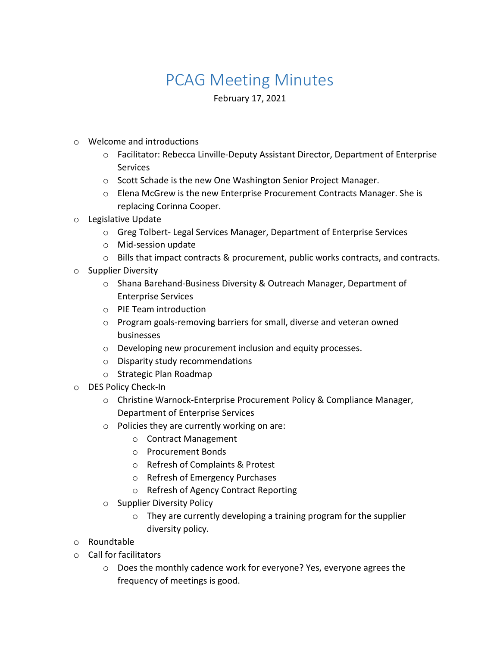## PCAG Meeting Minutes

February 17, 2021

- o Welcome and introductions
	- o Facilitator: Rebecca Linville-Deputy Assistant Director, Department of Enterprise **Services**
	- o Scott Schade is the new One Washington Senior Project Manager.
	- o Elena McGrew is the new Enterprise Procurement Contracts Manager. She is replacing Corinna Cooper.
- o Legislative Update
	- o Greg Tolbert- Legal Services Manager, Department of Enterprise Services
	- o Mid-session update
	- $\circ$  Bills that impact contracts & procurement, public works contracts, and contracts.
- o Supplier Diversity
	- o Shana Barehand-Business Diversity & Outreach Manager, Department of Enterprise Services
	- o PIE Team introduction
	- o Program goals-removing barriers for small, diverse and veteran owned businesses
	- o Developing new procurement inclusion and equity processes.
	- o Disparity study recommendations
	- o Strategic Plan Roadmap
- o DES Policy Check-In
	- o Christine Warnock-Enterprise Procurement Policy & Compliance Manager, Department of Enterprise Services
	- o Policies they are currently working on are:
		- o Contract Management
		- o Procurement Bonds
		- o Refresh of Complaints & Protest
		- o Refresh of Emergency Purchases
		- o Refresh of Agency Contract Reporting
	- o Supplier Diversity Policy
		- $\circ$  They are currently developing a training program for the supplier diversity policy.
- o Roundtable
- o Call for facilitators
	- o Does the monthly cadence work for everyone? Yes, everyone agrees the frequency of meetings is good.